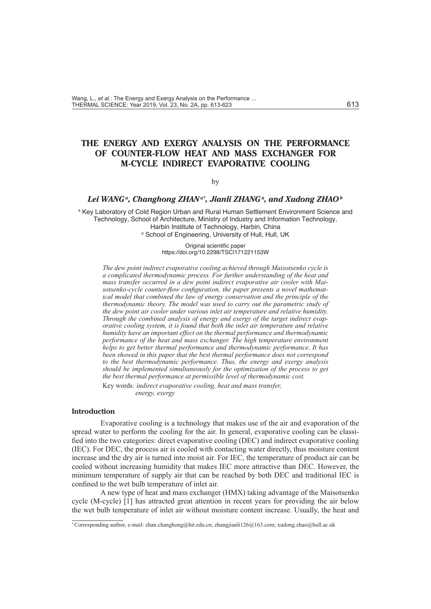# **THE ENERGY AND EXERGY ANALYSIS ON THE PERFORMANCE OF COUNTER-FLOW HEAT AND MASS EXCHANGER FOR M-CYCLE INDIRECT EVAPORATIVE COOLING**

#### by

# Lei WANGª, Changhong ZHANª\*, Jianli ZHANGª, and Xudong ZHAOb

<sup>a</sup> Key Laboratory of Cold Region Urban and Rural Human Settlement Environment Science and Technology, School of Architecture, Ministry of Industry and Information Technology, Harbin Institute of Technology, Harbin, China **b School of Engineering, University of Hull, Hull, UK** 

> Original scientific paper https://doi.org/10.2298/TSCI171221153W

*The dew point indirect evaporative cooling achieved through Maisotsenko cycle is a complicated thermodynamic process. For further understanding of the heat and mass transfer occurred in a dew point indirect evaporative air cooler with Maisotsenko-cycle counter-flow configuration, the paper presents a novel mathematical model that combined the law of energy conservation and the principle of the thermodynamic theory. The model was used to carry out the parametric study of the dew point air cooler under various inlet air temperature and relative humidity. Through the combined analysis of energy and exergy of the target indirect evaporative cooling system, it is found that both the inlet air temperature and relative humidity have an important effect on the thermal performance and thermodynamic performance of the heat and mass exchanger. The high temperature environment helps to get better thermal performance and thermodynamic performance. It has been showed in this paper that the best thermal performance does not correspond to the best thermodynamic performance. Thus, the energy and exergy analysis should be implemented simultaneously for the optimization of the process to get the best thermal performance at permissible level of thermodynamic cost.*

Key words*: indirect evaporative cooling, heat and mass transfer, energy, exergy*

### **Introduction**

Evaporative cooling is a technology that makes use of the air and evaporation of the spread water to perform the cooling for the air. In general, evaporative cooling can be classified into the two categories: direct evaporative cooling (DEC) and indirect evaporative cooling (IEC). For DEC, the process air is cooled with contacting water directly, thus moisture content increase and the dry air is turned into moist air. For IEC, the temperature of product air can be cooled without increasing humidity that makes IEC more attractive than DEC. However, the minimum temperature of supply air that can be reached by both DEC and traditional IEC is confined to the wet bulb temperature of inlet air.

A new type of heat and mass exchanger (HMX) taking advantage of the Maisotsenko cycle (M-cycle) [1] has attracted great attention in recent years for providing the air below the wet bulb temperature of inlet air without moisture content increase. Usually, the heat and

<sup>\*</sup> Corresponding author, e-mail: zhan.changhong@hit.edu.cn; zhangjianli126@163.com; xudong.zhao@hull.ac.uk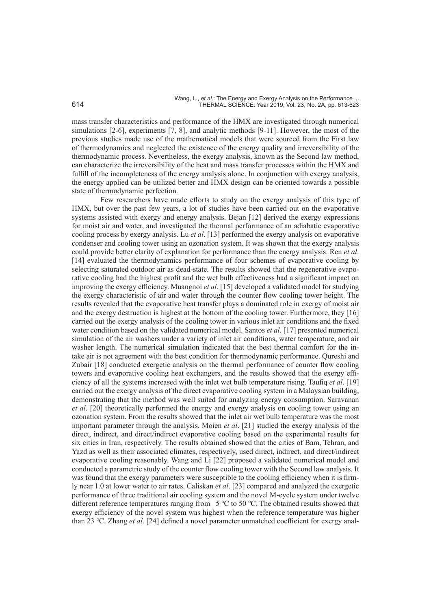mass transfer characteristics and performance of the HMX are investigated through numerical simulations [2-6], experiments [7, 8], and analytic methods [9-11]. However, the most of the previous studies made use of the mathematical models that were sourced from the First law of thermodynamics and neglected the existence of the energy quality and irreversibility of the thermodynamic process. Nevertheless, the exergy analysis, known as the Second law method, can characterize the irreversibility of the heat and mass transfer processes within the HMX and fulfill of the incompleteness of the energy analysis alone. In conjunction with exergy analysis, the energy applied can be utilized better and HMX design can be oriented towards a possible state of thermodynamic perfection.

Few researchers have made efforts to study on the exergy analysis of this type of HMX, but over the past few years, a lot of studies have been carried out on the evaporative systems assisted with exergy and energy analysis. Bejan [12] derived the exergy expressions for moist air and water, and investigated the thermal performance of an adiabatic evaporative cooling process by exergy analysis. Lu *et al*. [13] performed the exergy analysis on evaporative condenser and cooling tower using an ozonation system. It was shown that the exergy analysis could provide better clarity of explanation for performance than the energy analysis. Ren *et al*. [14] evaluated the thermodynamics performance of four schemes of evaporative cooling by selecting saturated outdoor air as dead-state. The results showed that the regenerative evaporative cooling had the highest profit and the wet bulb effectiveness had a significant impact on improving the exergy efficiency. Muangnoi *et al*. [15] developed a validated model for studying the exergy characteristic of air and water through the counter flow cooling tower height. The results revealed that the evaporative heat transfer plays a dominated role in exergy of moist air and the exergy destruction is highest at the bottom of the cooling tower. Furthermore, they [16] carried out the exergy analysis of the cooling tower in various inlet air conditions and the fixed water condition based on the validated numerical model. Santos *et al*. [17] presented numerical simulation of the air washers under a variety of inlet air conditions, water temperature, and air washer length. The numerical simulation indicated that the best thermal comfort for the intake air is not agreement with the best condition for thermodynamic performance. Qureshi and Zubair [18] conducted exergetic analysis on the thermal performance of counter flow cooling towers and evaporative cooling heat exchangers, and the results showed that the exergy efficiency of all the systems increased with the inlet wet bulb temperature rising. Taufiq *et al*. [19] carried out the exergy analysis of the direct evaporative cooling system in a Malaysian building, demonstrating that the method was well suited for analyzing energy consumption. Saravanan *et al*. [20] theoretically performed the energy and exergy analysis on cooling tower using an ozonation system. From the results showed that the inlet air wet bulb temperature was the most important parameter through the analysis. Moien *et al*. [21] studied the exergy analysis of the direct, indirect, and direct/indirect evaporative cooling based on the experimental results for six cities in Iran, respectively. The results obtained showed that the cities of Bam, Tehran, and Yazd as well as their associated climates, respectively, used direct, indirect, and direct/indirect evaporative cooling reasonably. Wang and Li [22] proposed a validated numerical model and conducted a parametric study of the counter flow cooling tower with the Second law analysis. It was found that the exergy parameters were susceptible to the cooling efficiency when it is firmly near 1.0 at lower water to air rates. Caliskan *et al*. [23] compared and analyzed the exergetic performance of three traditional air cooling system and the novel M-cycle system under twelve different reference temperatures ranging from –5 ℃ to 50 ℃. The obtained results showed that exergy efficiency of the novel system was highest when the reference temperature was higher than 23 ℃. Zhang *et al*. [24] defined a novel parameter unmatched coefficient for exergy anal-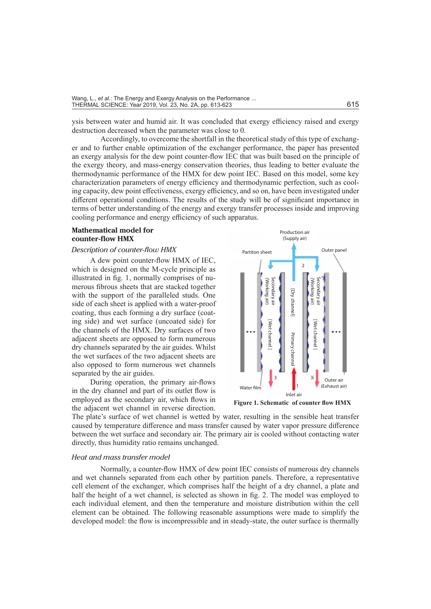ysis between water and humid air. It was concluded that exergy efficiency raised and exergy destruction decreased when the parameter was close to 0.

Accordingly, to overcome the shortfall in the theoretical study of this type of exchanger and to further enable optimization of the exchanger performance, the paper has presented an exergy analysis for the dew point counter-flow IEC that was built based on the principle of the exergy theory, and mass-energy conservation theories, thus leading to better evaluate the thermodynamic performance of the HMX for dew point IEC. Based on this model, some key characterization parameters of energy efficiency and thermodynamic perfection, such as cooling capacity, dew point effectiveness, exergy efficiency, and so on, have been investigated under different operational conditions. The results of the study will be of significant importance in terms of better understanding of the energy and exergy transfer processes inside and improving cooling performance and energy efficiency of such apparatus.

# **Mathematical model for counter-flow HMX**

# *Description of counter-flow HMX*

A dew point counter-flow HMX of IEC, which is designed on the M-cycle principle as illustrated in fig. 1, normally comprises of numerous fibrous sheets that are stacked together with the support of the paralleled studs. One side of each sheet is applied with a water-proof coating, thus each forming a dry surface (coating side) and wet surface (uncoated side) for the channels of the HMX. Dry surfaces of two adjacent sheets are opposed to form numerous dry channels separated by the air guides. Whilst the wet surfaces of the two adjacent sheets are also opposed to form numerous wet channels separated by the air guides.

During operation, the primary air-flows in the dry channel and part of its outlet flow is employed as the secondary air, which flows in the adjacent wet channel in reverse direction.



The plate's surface of wet channel is wetted by water, resulting in the sensible heat transfer caused by temperature difference and mass transfer caused by water vapor pressure difference between the wet surface and secondary air. The primary air is cooled without contacting water directly, thus humidity ratio remains unchanged.

#### *Heat and mass transfer model*

Normally, a counter-flow HMX of dew point IEC consists of numerous dry channels and wet channels separated from each other by partition panels. Therefore, a representative cell element of the exchanger, which comprises half the height of a dry channel, a plate and half the height of a wet channel, is selected as shown in fig. 2. The model was employed to each individual element, and then the temperature and moisture distribution within the cell element can be obtained. The following reasonable assumptions were made to simplify the developed model: the flow is incompressible and in steady-state, the outer surface is thermally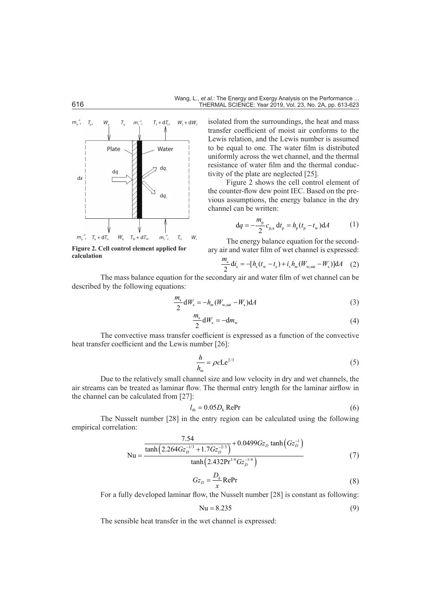

**Figure 2. Cell control element applied for calculation**

isolated from the surroundings, the heat and mass transfer coefficient of moist air conforms to the Lewis relation, and the Lewis number is assumed to be equal to one. The water film is distributed uniformly across the wet channel, and the thermal resistance of water film and the thermal conductivity of the plate are neglected [25].

Figure 2 shows the cell control element of the counter-flow dew point IEC. Based on the previous assumptions, the energy balance in the dry channel can be written:

$$
dq = -\frac{m_{p}}{2}c_{p,a} dt_{p} = h_{p}(t_{p} - t_{w})dA
$$
 (1)

The energy balance equation for the secondary air and water film of wet channel is expressed:

$$
\frac{m_s}{2} \mathrm{d} i_s = -[h_s(t_w - t_s) + i_v h_m(W_{w, \text{sat}} - W_s)] \mathrm{d} A \quad (2)
$$

The mass balance equation for the secondary air and water film of wet channel can be described by the following equations:

$$
\frac{m_s}{2} \mathrm{d}W_s = -h_m (W_{\text{w,sat}} - W_s) \mathrm{d}A \tag{3}
$$

$$
\frac{m_s}{2} \mathrm{d}W_s = -\mathrm{d}m_w \tag{4}
$$

The convective mass transfer coefficient is expressed as a function of the convective heat transfer coefficient and the Lewis number [26]:

$$
\frac{h}{h_m} = \rho c L e^{2/3} \tag{5}
$$

Due to the relatively small channel size and low velocity in dry and wet channels, the air streams can be treated as laminar flow. The thermal entry length for the laminar airflow in the channel can be calculated from [27]:

$$
l_{\text{th}} = 0.05 D_h \text{RePr} \tag{6}
$$

The Nusselt number [28] in the entry region can be calculated using the following empirical correlation:

$$
Nu = \frac{\frac{7.54}{\tanh\left(2.264Gz_D^{-1/3} + 1.7Gz_D^{-2/3}\right)} + 0.0499Gz_D \tanh\left(Gz_D^{-1}\right)}{\tanh\left(2.432\text{Pr}^{1/6}Gz_D^{-1/6}\right)}\tag{7}
$$

$$
Gz_D = \frac{D_h}{x} \text{RePr} \tag{8}
$$

For a fully developed laminar flow, the Nusselt number [28] is constant as following:

$$
Nu = 8.235\tag{9}
$$

The sensible heat transfer in the wet channel is expressed: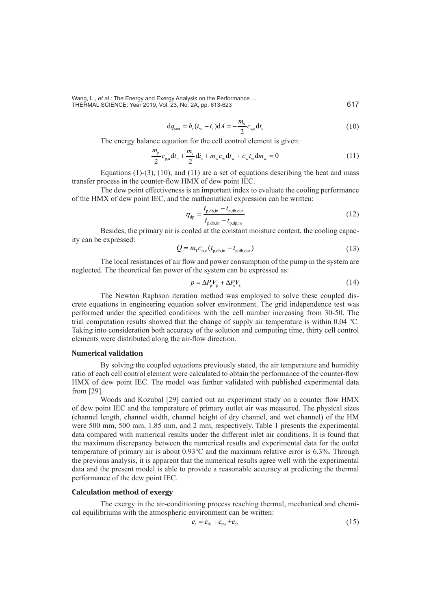Wang, L., *et al.*: The Energy and Exergy Analysis on the Performance ... THERMAL SCIENCE: Year 2019, Vol. 23, No. 2A, pp. 613-623 617

$$
dq_{sen} = h_s(t_w - t_s) dA = -\frac{m_s}{2} c_{s,a} dt_s
$$
 (10)

The energy balance equation for the cell control element is given:

$$
\frac{m_{\rm p}}{2}c_{\rm p,a}dt_{\rm p} + \frac{m_{\rm s}}{2}dt_{\rm s} + m_{\rm w}c_{\rm w}dt_{\rm w} + c_{\rm w}t_{\rm w}dm_{\rm w} = 0\tag{11}
$$

Equations  $(1)-(3)$ ,  $(10)$ , and  $(11)$  are a set of equations describing the heat and mass transfer process in the counter-flow HMX of dew point IEC.

The dew point effectiveness is an important index to evaluate the cooling performance of the HMX of dew point IEC, and the mathematical expression can be written:

$$
\eta_{dp} = \frac{t_{p,db,in} - t_{p,db,out}}{t_{p,db,in} - t_{p,dp,in}}
$$
(12)

Besides, the primary air is cooled at the constant moisture content, the cooling capacity can be expressed:

$$
Q = m_{\rm f} c_{\rm p,a} (t_{\rm p,db,in} - t_{\rm p,db,out})
$$
\n(13)

The local resistances of air flow and power consumption of the pump in the system are neglected. The theoretical fan power of the system can be expressed as:

$$
p = \Delta P_{\rm p} V_{\rm p} + \Delta P_{\rm s} V_{\rm s} \tag{14}
$$

The Newton Raphson iteration method was employed to solve these coupled discrete equations in engineering equation solver environment. The grid independence test was performed under the specified conditions with the cell number increasing from 30-50. The trial computation results showed that the change of supply air temperature is within 0.04 ℃. Taking into consideration both accuracy of the solution and computing time, thirty cell control elements were distributed along the air-flow direction.

# **Numerical validation**

By solving the coupled equations previously stated, the air temperature and humidity ratio of each cell control element were calculated to obtain the performance of the counter-flow HMX of dew point IEC. The model was further validated with published experimental data from [29].

Woods and Kozubal [29] carried out an experiment study on a counter flow HMX of dew point IEC and the temperature of primary outlet air was measured. The physical sizes (channel length, channel width, channel height of dry channel, and wet channel) of the HM were 500 mm, 500 mm, 1.85 mm, and 2 mm, respectively. Table 1 presents the experimental data compared with numerical results under the different inlet air conditions. It is found that the maximum discrepancy between the numerical results and experimental data for the outlet temperature of primary air is about 0.93℃ and the maximum relative error is 6,3%. Through the previous analysis, it is apparent that the numerical results agree well with the experimental data and the present model is able to provide a reasonable accuracy at predicting the thermal performance of the dew point IEC.

# **Calculation method of exergy**

The exergy in the air-conditioning process reaching thermal, mechanical and chemical equilibriums with the atmospheric environment can be written:

$$
e_{t} = e_{th} + e_{me} + e_{ch} \tag{15}
$$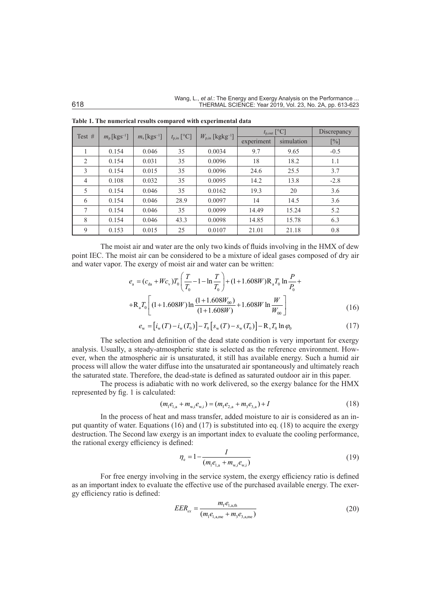| Test $#$       |                                  |                            |                 |                                  | $t_{p,out}$ [°C] | Discrepancy |        |
|----------------|----------------------------------|----------------------------|-----------------|----------------------------------|------------------|-------------|--------|
|                | $m_{\rm p}$ [kgs <sup>-1</sup> ] | $m_s$ [kgs <sup>-1</sup> ] | $t_{p,in}$ [°C] | $W_{p,in}$ [kgkg <sup>-1</sup> ] | experiment       | simulation  | [%]    |
|                | 0.154                            | 0.046                      | 35              | 0.0034                           | 9.7              | 9.65        | $-0.5$ |
| 2              | 0.154                            | 0.031                      | 35              | 0.0096                           | 18               | 18.2        | 1.1    |
| 3              | 0.154                            | 0.015                      | 35              | 0.0096                           | 24.6             | 25.5        | 3.7    |
| $\overline{4}$ | 0.108                            | 0.032                      | 35              | 0.0095                           | 14.2             | 13.8        | $-2.8$ |
| 5              | 0.154                            | 0.046                      | 35              | 0.0162                           | 19.3             | 20          | 3.6    |
| 6              | 0.154                            | 0.046                      | 28.9            | 0.0097                           | 14               | 14.5        | 3.6    |
| 7              | 0.154                            | 0.046                      | 35              | 0.0099                           | 14.49            | 15.24       | 5.2    |
| 8              | 0.154                            | 0.046                      | 43.3            | 0.0098                           | 14.85            | 15.78       | 6.3    |
| 9              | 0.153                            | 0.015                      | 25              | 0.0107                           | 21.01            | 21.18       | 0.8    |

**Table 1. The numerical results compared with experimental data**

The moist air and water are the only two kinds of fluids involving in the HMX of dew point IEC. The moist air can be considered to be a mixture of ideal gases composed of dry air and water vapor. The exergy of moist air and water can be written:

$$
e_{\rm a} = (c_{\rm da} + Wc_{\rm v})T_0 \left(\frac{T}{T_0} - 1 - \ln \frac{T}{T_0}\right) + (1 + 1.608W)R_{\rm a}T_0 \ln \frac{P}{P_0} +
$$
  
+
$$
+ R_{\rm a}T_0 \left[ (1 + 1.608W) \ln \frac{(1 + 1.608W_{00})}{(1 + 1.608W)} + 1.608W \ln \frac{W}{W_{00}} \right]
$$
(16)

$$
e_{\rm w} = [i_{\rm w}(T) - i_{\rm w}(T_0)] - T_0 [s_{\rm w}(T) - s_{\rm w}(T_0)] - R_{\rm v}T_0 \ln \varphi_0
$$
\n(17)

The selection and definition of the dead state condition is very important for exergy analysis. Usually, a steady-atmospheric state is selected as the reference environment. However, when the atmospheric air is unsaturated, it still has available energy. Such a humid air process will allow the water diffuse into the unsaturated air spontaneously and ultimately reach the saturated state. Therefore, the dead-state is defined as saturated outdoor air in this paper.

The process is adiabatic with no work delivered, so the exergy balance for the HMX represented by fig. 1 is calculated:

$$
(m_1e_{1,a} + m_{w,i}e_{w,i}) = (m_f e_{2,a} + m_3 e_{3,a}) + I
$$
\n(18)

In the process of heat and mass transfer, added moisture to air is considered as an input quantity of water. Equations (16) and (17) is substituted into eq. (18) to acquire the exergy destruction. The Second law exergy is an important index to evaluate the cooling performance, the rational exergy efficiency is defined:

$$
\eta_{\rm e} = 1 - \frac{I}{(m_{\rm l}e_{\rm l,a} + m_{\rm w,i}e_{\rm w,i})}
$$
(19)

For free energy involving in the service system, the exergy efficiency ratio is defined as an important index to evaluate the effective use of the purchased available energy. The exergy efficiency ratio is defined:

$$
EER_{ex} = \frac{m_{f}e_{1,\text{a},\text{th}}}{(m_{1}e_{1,\text{a},\text{me}} + m_{3}e_{3,\text{a},\text{me}})}
$$
(20)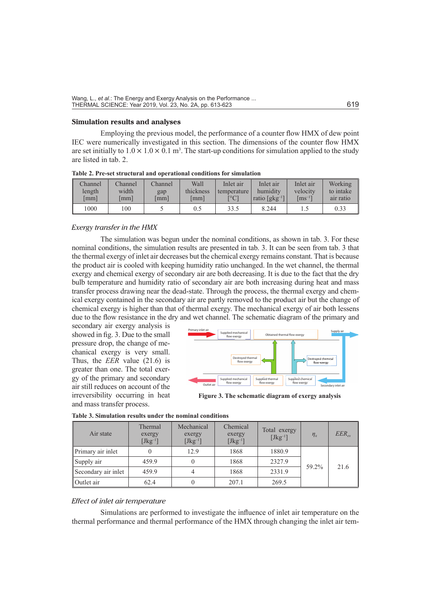### **Simulation results and analyses**

Employing the previous model, the performance of a counter flow HMX of dew point IEC were numerically investigated in this section. The dimensions of the counter flow HMX are set initially to  $1.0 \times 1.0 \times 0.1$  m<sup>3</sup>. The start-up conditions for simulation applied to the study are listed in tab. 2.

**Table 2. Pre-set structural and operational conditions for simulation**

| Channel | Channel              | Channel              | Wall      | Inlet air                 | Inlet air                            | Inlet air            | Working   |
|---------|----------------------|----------------------|-----------|---------------------------|--------------------------------------|----------------------|-----------|
| length  | width                | gap                  | thickness | temperature               | humidity                             | velocity             | to intake |
| [mm]    | $\lceil$ mm $\rceil$ | $\lceil$ mm $\rceil$ | lmm l     | $\lceil{^{\circ}C}\rceil$ | ratio $\lceil g \cdot g^{-1} \rceil$ | $\mathrm{[ms^{-1}]}$ | air ratio |
| 1000    | 100                  |                      |           | 33.5                      | 8.244                                |                      |           |

### *Exergy transfer in the HMX*

The simulation was begun under the nominal conditions, as shown in tab. 3. For these nominal conditions, the simulation results are presented in tab. 3. It can be seen from tab. 3 that the thermal exergy of inlet air decreases but the chemical exergy remains constant. That is because the product air is cooled with keeping humidity ratio unchanged. In the wet channel, the thermal exergy and chemical exergy of secondary air are both decreasing. It is due to the fact that the dry bulb temperature and humidity ratio of secondary air are both increasing during heat and mass transfer process drawing near the dead-state. Through the process, the thermal exergy and chemical exergy contained in the secondary air are partly removed to the product air but the change of chemical exergy is higher than that of thermal exergy. The mechanical exergy of air both lessens due to the flow resistance in the dry and wet channel. The schematic diagram of the primary and

secondary air exergy analysis is showed in fig. 3. Due to the small pressure drop, the change of mechanical exergy is very small. Thus, the *EER* value (21.6) is greater than one. The total exergy of the primary and secondary air still reduces on account of the irreversibility occurring in heat and mass transfer process.



**Figure 3. The schematic diagram of exergy analysis**

| Air state           | Thermal<br>exergy<br>$[Jkg^{-1}]$ | Mechanical<br>exergy<br>$[Jkg^{-1}]$ | Chemical<br>exergy<br>$[Jkg^{-1}]$ | Total exergy<br>$[Jkg^{-1}]$ | $\eta_{\rm c}$ | $EER_{\alpha r}$ |
|---------------------|-----------------------------------|--------------------------------------|------------------------------------|------------------------------|----------------|------------------|
| Primary air inlet   | 0                                 | 12.9                                 | 1868                               | 1880.9                       |                |                  |
| Supply air          | 459.9                             |                                      | 1868                               | 2327.9                       |                |                  |
| Secondary air inlet | 459.9                             | 4                                    | 1868                               | 2331.9                       | 59.2%          | 21.6             |
| Outlet air          | 62.4                              |                                      | 207.1                              | 269.5                        |                |                  |

| Table 3. Simulation results under the nominal conditions |
|----------------------------------------------------------|
|----------------------------------------------------------|

#### *Effect of inlet air temperature*

Simulations are performed to investigate the influence of inlet air temperature on the thermal performance and thermal performance of the HMX through changing the inlet air tem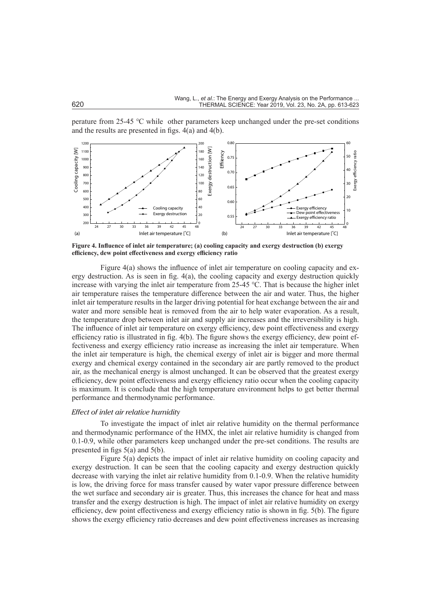perature from 25-45 ℃ while other parameters keep unchanged under the pre-set conditions and the results are presented in figs. 4(a) and 4(b).



**Figure 4. Influence of inlet air temperature; (a) cooling capacity and exergy destruction (b) exergy efficiency, dew point effectiveness and exergy efficiency ratio**

Figure 4(a) shows the influence of inlet air temperature on cooling capacity and exergy destruction. As is seen in fig. 4(a), the cooling capacity and exergy destruction quickly increase with varying the inlet air temperature from 25-45 ℃. That is because the higher inlet air temperature raises the temperature difference between the air and water. Thus, the higher inlet air temperature results in the larger driving potential for heat exchange between the air and water and more sensible heat is removed from the air to help water evaporation. As a result, the temperature drop between inlet air and supply air increases and the irreversibility is high. The influence of inlet air temperature on exergy efficiency, dew point effectiveness and exergy efficiency ratio is illustrated in fig. 4(b). The figure shows the exergy efficiency, dew point effectiveness and exergy efficiency ratio increase as increasing the inlet air temperature. When the inlet air temperature is high, the chemical exergy of inlet air is bigger and more thermal exergy and chemical exergy contained in the secondary air are partly removed to the product air, as the mechanical energy is almost unchanged. It can be observed that the greatest exergy efficiency, dew point effectiveness and exergy efficiency ratio occur when the cooling capacity is maximum. It is conclude that the high temperature environment helps to get better thermal performance and thermodynamic performance.

#### *Effect of inlet air relative humidity*

To investigate the impact of inlet air relative humidity on the thermal performance and thermodynamic performance of the HMX, the inlet air relative humidity is changed from 0.1-0.9, while other parameters keep unchanged under the pre-set conditions. The results are presented in figs 5(a) and 5(b).

Figure 5(a) depicts the impact of inlet air relative humidity on cooling capacity and exergy destruction. It can be seen that the cooling capacity and exergy destruction quickly decrease with varying the inlet air relative humidity from 0.1-0.9. When the relative humidity is low, the driving force for mass transfer caused by water vapor pressure difference between the wet surface and secondary air is greater. Thus, this increases the chance for heat and mass transfer and the exergy destruction is high. The impact of inlet air relative humidity on exergy efficiency, dew point effectiveness and exergy efficiency ratio is shown in fig. 5(b). The figure shows the exergy efficiency ratio decreases and dew point effectiveness increases as increasing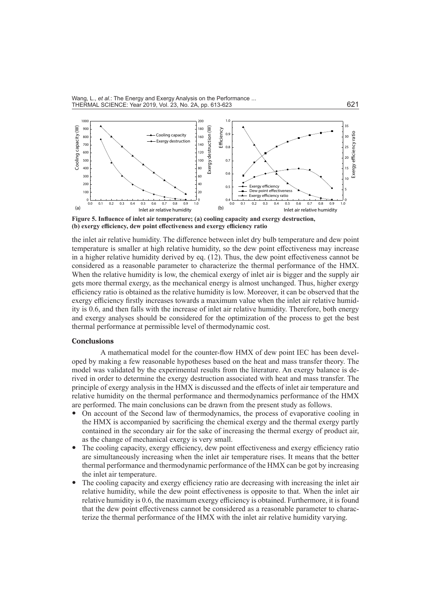

**Figure 5. Influence of inlet air temperature; (a) cooling capacity and exergy destruction, (b) exergy efficiency, dew point effectiveness and exergy efficiency ratio**

the inlet air relative humidity. The difference between inlet dry bulb temperature and dew point temperature is smaller at high relative humidity, so the dew point effectiveness may increase in a higher relative humidity derived by eq. (12). Thus, the dew point effectiveness cannot be considered as a reasonable parameter to characterize the thermal performance of the HMX. When the relative humidity is low, the chemical exergy of inlet air is bigger and the supply air gets more thermal exergy, as the mechanical energy is almost unchanged. Thus, higher exergy efficiency ratio is obtained as the relative humidity is low. Moreover, it can be observed that the exergy efficiency firstly increases towards a maximum value when the inlet air relative humidity is 0.6, and then falls with the increase of inlet air relative humidity. Therefore, both energy and exergy analyses should be considered for the optimization of the process to get the best thermal performance at permissible level of thermodynamic cost.

#### **Conclusions**

A mathematical model for the counter-flow HMX of dew point IEC has been developed by making a few reasonable hypotheses based on the heat and mass transfer theory. The model was validated by the experimental results from the literature. An exergy balance is derived in order to determine the exergy destruction associated with heat and mass transfer. The principle of exergy analysis in the HMX is discussed and the effects of inlet air temperature and relative humidity on the thermal performance and thermodynamics performance of the HMX are performed. The main conclusions can be drawn from the present study as follows.

- On account of the Second law of thermodynamics, the process of evaporative cooling in the HMX is accompanied by sacrificing the chemical exergy and the thermal exergy partly contained in the secondary air for the sake of increasing the thermal exergy of product air, as the change of mechanical exergy is very small.
- The cooling capacity, exergy efficiency, dew point effectiveness and exergy efficiency ratio are simultaneously increasing when the inlet air temperature rises. It means that the better thermal performance and thermodynamic performance of the HMX can be got by increasing the inlet air temperature.
- The cooling capacity and exergy efficiency ratio are decreasing with increasing the inlet air relative humidity, while the dew point effectiveness is opposite to that. When the inlet air relative humidity is 0.6, the maximum exergy efficiency is obtained. Furthermore, it is found that the dew point effectiveness cannot be considered as a reasonable parameter to characterize the thermal performance of the HMX with the inlet air relative humidity varying.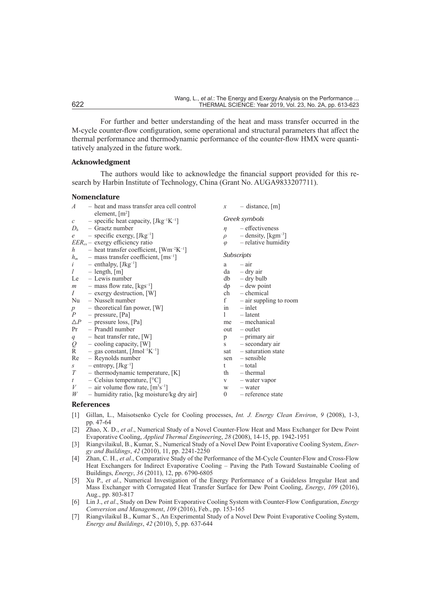For further and better understanding of the heat and mass transfer occurred in the M-cycle counter-flow configuration, some operational and structural parameters that affect the thermal performance and thermodynamic performance of the counter-flow HMX were quantitatively analyzed in the future work.

# **Acknowledgment**

The authors would like to acknowledge the financial support provided for this research by Harbin Institute of Technology, China (Grant No. AUGA9833207711).

#### **Nomenclature**

| $\boldsymbol{A}$ | - heat and mass transfer area cell control                                                                 | $\mathcal{X}$     | $-$ distance, $[m]$               |
|------------------|------------------------------------------------------------------------------------------------------------|-------------------|-----------------------------------|
|                  | element, $[m^2]$                                                                                           |                   | Greek symbols                     |
|                  | $c$ - specific heat capacity, [Jkg <sup>-1</sup> K <sup>-1</sup> ]                                         |                   |                                   |
|                  | $D_h$ – Graetz number                                                                                      | $\eta$            | – effectiveness                   |
| e                | $-$ specific exergy, $[Jkg^{-1}]$                                                                          | $\rho$            | $-$ density, [kgm <sup>-3</sup> ] |
|                  | $EER_{ex}$ – exergy efficiency ratio                                                                       | $\varphi$         | - relative humidity               |
| $\boldsymbol{h}$ | - heat transfer coefficient, $[Wm^{-2}K^{-1}]$                                                             |                   |                                   |
|                  | $h_m$ – mass transfer coefficient, [ms <sup>-1</sup> ]                                                     | <b>Subscripts</b> |                                   |
| i                | $-$ enthalpy, $[Jkg^{-1}]$                                                                                 | a                 | $-$ air                           |
| l                | $-$ length, $[m]$                                                                                          |                   | $da - dry air$                    |
|                  | Le $-$ Lewis number                                                                                        |                   | $db - dry \text{ bulb}$           |
|                  | $m$ – mass flow rate, [kgs <sup>-1</sup> ]                                                                 |                   | $dp = dew$ point                  |
|                  | $I -$ exergy destruction, [W]                                                                              |                   | $ch$ – chemical                   |
| Nu               | – Nusselt number                                                                                           | f                 | $-$ air suppling to room          |
| $p_{-}$          | $-$ theoretical fan power, [W]                                                                             |                   | $\sin$ - inlet                    |
| $\overline{P}$   | $-$ pressure, [Pa]                                                                                         | $1 \quad$         | $-\lambda$ latent                 |
| $\triangle P$    | - pressure loss, [Pa]                                                                                      |                   | $me$ – mechanical                 |
| Pr               | - Prandtl number                                                                                           |                   | $out - outlet$                    |
|                  |                                                                                                            | p                 | $-$ primary air                   |
|                  | $q$ - heat transfer rate, [W]<br>$Q$ - cooling capacity, [W]<br>$R$ - gas constant, [Jmol <sup>-1</sup> K] | $S$ and $S$       | - secondary air                   |
|                  | - gas constant, $[{\rm Jmol^{-1}K^{-1}}]$                                                                  |                   | $sat$ – saturation state          |
| Re               | - Reynolds number                                                                                          |                   | $sen$ – sensible                  |
| S                | $-$ entropy, $[Jkg^{-1}]$                                                                                  | t                 | - total                           |
| T                | - thermodynamic temperature, $[K]$                                                                         |                   | $th$ – thermal                    |
| t                | - Celsius temperature, $[°C]$                                                                              |                   | $v - water vapor$                 |
| $V_{-}$          | - air volume flow rate, $[m3s-1]$                                                                          | W -               | – water                           |
| W                | - humidity ratio, [kg moisture/kg dry air]                                                                 | $\mathbf{0}$      | - reference state                 |

# **References**

- [1] Gillan, L., Maisotsenko Cycle for Cooling processes, *Int. J. Energy Clean Environ*, *9* (2008), 1-3, pp. 47-64
- [2] Zhao, X. D., *et al*., Numerical Study of a Novel Counter-Flow Heat and Mass Exchanger for Dew Point Evaporative Cooling, *Applied Thermal Engineering*, *28* (2008), 14-15, pp. 1942-1951
- [3] Riangvilaikul, B., Kumar, S., Numerical Study of a Novel Dew Point Evaporative Cooling System, *Energy and Buildings*, *42* (2010), 11, pp. 2241-2250
- [4] Zhan, C. H., *et al*., Comparative Study of the Performance of the M-Cycle Counter-Flow and Cross-Flow Heat Exchangers for Indirect Evaporative Cooling – Paving the Path Toward Sustainable Cooling of Buildings, *Energy*, *36* (2011), 12, pp. 6790-6805
- [5] Xu P., *et al*., Numerical Investigation of the Energy Performance of a Guideless Irregular Heat and Mass Exchanger with Corrugated Heat Transfer Surface for Dew Point Cooling, *Energy*, *109* (2016), Aug., pp. 803-817
- [6] Lin J., *et al*., Study on Dew Point Evaporative Cooling System with Counter-Flow Configuration, *Energy Conversion and Management*, *109* (2016), Feb., pp. 153-165
- [7] Riangvilaikul B., Kumar S., An Experimental Study of a Novel Dew Point Evaporative Cooling System, *Energy and Buildings*, *42* (2010), 5, pp. 637-644